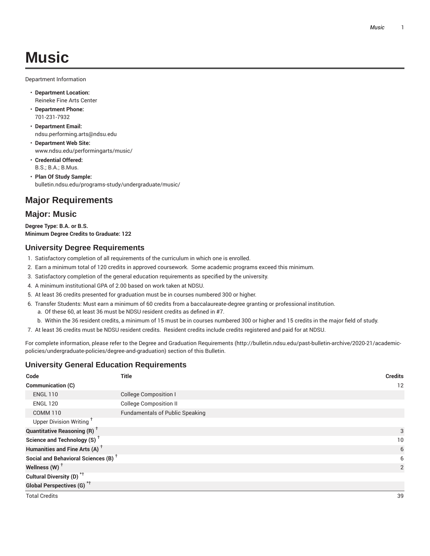# **Music**

Department Information

- **Department Location:** Reineke Fine Arts Center
- **Department Phone:** 701-231-7932
- **Department Email:** ndsu.performing.arts@ndsu.edu
- **Department Web Site:** www.ndsu.edu/performingarts/music/
- **Credential Offered:** B.S.; B.A.; B.Mus.
- **Plan Of Study Sample:** bulletin.ndsu.edu/programs-study/undergraduate/music/

# **Major Requirements**

## **Major: Music**

**Degree Type: B.A. or B.S. Minimum Degree Credits to Graduate: 122**

## **University Degree Requirements**

- 1. Satisfactory completion of all requirements of the curriculum in which one is enrolled.
- 2. Earn a minimum total of 120 credits in approved coursework. Some academic programs exceed this minimum.
- 3. Satisfactory completion of the general education requirements as specified by the university.
- 4. A minimum institutional GPA of 2.00 based on work taken at NDSU.
- 5. At least 36 credits presented for graduation must be in courses numbered 300 or higher.
- 6. Transfer Students: Must earn a minimum of 60 credits from a baccalaureate-degree granting or professional institution.
	- a. Of these 60, at least 36 must be NDSU resident credits as defined in #7.
	- b. Within the 36 resident credits, a minimum of 15 must be in courses numbered 300 or higher and 15 credits in the major field of study.
- 7. At least 36 credits must be NDSU resident credits. Resident credits include credits registered and paid for at NDSU.

For complete information, please refer to the Degree and Graduation Requirements (http://bulletin.ndsu.edu/past-bulletin-archive/2020-21/academicpolicies/undergraduate-policies/degree-and-graduation) section of this Bulletin.

## **University General Education Requirements**

| Code                                            | Title                                  | <b>Credits</b> |
|-------------------------------------------------|----------------------------------------|----------------|
| Communication (C)                               |                                        | 12             |
| <b>ENGL 110</b>                                 | <b>College Composition I</b>           |                |
| <b>ENGL 120</b>                                 | <b>College Composition II</b>          |                |
| <b>COMM 110</b>                                 | <b>Fundamentals of Public Speaking</b> |                |
| Upper Division Writing <sup>+</sup>             |                                        |                |
| <b>Quantitative Reasoning (R)</b> <sup>+</sup>  |                                        | 3              |
| Science and Technology (S) <sup>+</sup>         |                                        | 10             |
| Humanities and Fine Arts (A) <sup>+</sup>       |                                        | 6              |
| Social and Behavioral Sciences (B) <sup>+</sup> |                                        | 6              |
| Wellness $(W)$ <sup>+</sup>                     |                                        | 2              |
| Cultural Diversity (D) <sup>*†</sup>            |                                        |                |
| <b>Global Perspectives (G)<sup>*†</sup></b>     |                                        |                |
| <b>Total Credits</b>                            |                                        | 39             |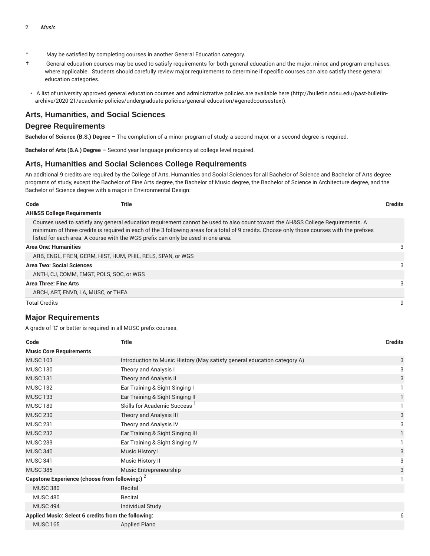- \* May be satisfied by completing courses in another General Education category.
- † General education courses may be used to satisfy requirements for both general education and the major, minor, and program emphases, where applicable. Students should carefully review major requirements to determine if specific courses can also satisfy these general education categories.
- A list of university approved general education courses and administrative policies are available here (http://bulletin.ndsu.edu/past-bulletinarchive/2020-21/academic-policies/undergraduate-policies/general-education/#genedcoursestext).

#### **Arts, Humanities, and Social Sciences**

#### **Degree Requirements**

**Bachelor of Science (B.S.) Degree –** The completion of a minor program of study, a second major, or a second degree is required.

**Bachelor of Arts (B.A.) Degree –** Second year language proficiency at college level required.

#### **Arts, Humanities and Social Sciences College Requirements**

An additional 9 credits are required by the College of Arts, Humanities and Social Sciences for all Bachelor of Science and Bachelor of Arts degree programs of study, except the Bachelor of Fine Arts degree, the Bachelor of Music degree, the Bachelor of Science in Architecture degree, and the Bachelor of Science degree with a major in Environmental Design:

| Code                                  | Title                                                                            |                                                                                                                                                                                                                                                                                | <b>Credits</b> |
|---------------------------------------|----------------------------------------------------------------------------------|--------------------------------------------------------------------------------------------------------------------------------------------------------------------------------------------------------------------------------------------------------------------------------|----------------|
| <b>AH&amp;SS College Requirements</b> |                                                                                  |                                                                                                                                                                                                                                                                                |                |
|                                       | listed for each area. A course with the WGS prefix can only be used in one area. | Courses used to satisfy any general education requirement cannot be used to also count toward the AH&SS College Requirements. A<br>minimum of three credits is required in each of the 3 following areas for a total of 9 credits. Choose only those courses with the prefixes |                |
| <b>Area One: Humanities</b>           |                                                                                  |                                                                                                                                                                                                                                                                                | 3              |
|                                       | ARB, ENGL, FREN, GERM, HIST, HUM, PHIL, RELS, SPAN, or WGS                       |                                                                                                                                                                                                                                                                                |                |
| <b>Area Two: Social Sciences</b>      |                                                                                  |                                                                                                                                                                                                                                                                                | 3              |
|                                       | ANTH, CJ, COMM, EMGT, POLS, SOC, or WGS                                          |                                                                                                                                                                                                                                                                                |                |
| <b>Area Three: Fine Arts</b>          |                                                                                  |                                                                                                                                                                                                                                                                                | 3              |
|                                       | ARCH, ART, ENVD, LA, MUSC, or THEA                                               |                                                                                                                                                                                                                                                                                |                |
| <b>Total Credits</b>                  |                                                                                  |                                                                                                                                                                                                                                                                                | 9              |

#### **Major Requirements**

| <b>Title</b>                                                             | <b>Credits</b>                                                                                        |
|--------------------------------------------------------------------------|-------------------------------------------------------------------------------------------------------|
|                                                                          |                                                                                                       |
| Introduction to Music History (May satisfy general education category A) | 3                                                                                                     |
| Theory and Analysis I                                                    | 3                                                                                                     |
| Theory and Analysis II                                                   | 3                                                                                                     |
| Ear Training & Sight Singing I                                           |                                                                                                       |
| Ear Training & Sight Singing II                                          | $\mathbf{1}$                                                                                          |
| Skills for Academic Success <sup>1</sup>                                 |                                                                                                       |
| Theory and Analysis III                                                  | 3                                                                                                     |
| Theory and Analysis IV                                                   | 3                                                                                                     |
| Ear Training & Sight Singing III                                         |                                                                                                       |
| Ear Training & Sight Singing IV                                          |                                                                                                       |
| Music History I                                                          | 3                                                                                                     |
| Music History II                                                         | 3                                                                                                     |
| Music Entrepreneurship                                                   | 3                                                                                                     |
|                                                                          | 1                                                                                                     |
| Recital                                                                  |                                                                                                       |
| Recital                                                                  |                                                                                                       |
| Individual Study                                                         |                                                                                                       |
|                                                                          | 6                                                                                                     |
| <b>Applied Piano</b>                                                     |                                                                                                       |
|                                                                          | Capstone Experience (choose from following:) 2<br>Applied Music: Select 6 credits from the following: |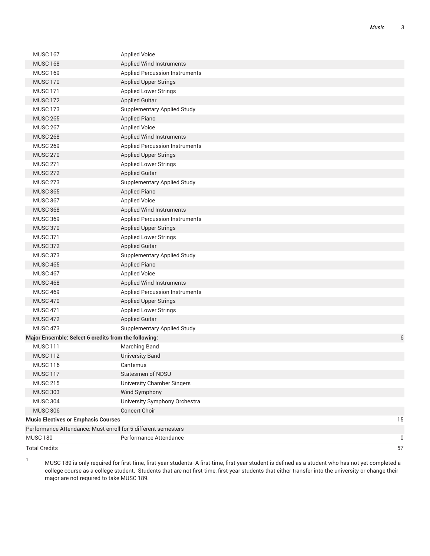| <b>MUSC 167</b>                                               | <b>Applied Voice</b>                  |    |
|---------------------------------------------------------------|---------------------------------------|----|
| <b>MUSC 168</b>                                               | <b>Applied Wind Instruments</b>       |    |
| <b>MUSC 169</b>                                               | <b>Applied Percussion Instruments</b> |    |
| <b>MUSC 170</b>                                               | <b>Applied Upper Strings</b>          |    |
| <b>MUSC 171</b>                                               | <b>Applied Lower Strings</b>          |    |
| <b>MUSC 172</b>                                               | <b>Applied Guitar</b>                 |    |
| <b>MUSC 173</b>                                               | <b>Supplementary Applied Study</b>    |    |
| <b>MUSC 265</b>                                               | <b>Applied Piano</b>                  |    |
| <b>MUSC 267</b>                                               | <b>Applied Voice</b>                  |    |
| <b>MUSC 268</b>                                               | <b>Applied Wind Instruments</b>       |    |
| <b>MUSC 269</b>                                               | <b>Applied Percussion Instruments</b> |    |
| <b>MUSC 270</b>                                               | <b>Applied Upper Strings</b>          |    |
| <b>MUSC 271</b>                                               | <b>Applied Lower Strings</b>          |    |
| <b>MUSC 272</b>                                               | <b>Applied Guitar</b>                 |    |
| <b>MUSC 273</b>                                               | <b>Supplementary Applied Study</b>    |    |
| <b>MUSC 365</b>                                               | <b>Applied Piano</b>                  |    |
| <b>MUSC 367</b>                                               | <b>Applied Voice</b>                  |    |
| <b>MUSC 368</b>                                               | <b>Applied Wind Instruments</b>       |    |
| <b>MUSC 369</b>                                               | <b>Applied Percussion Instruments</b> |    |
| <b>MUSC 370</b>                                               | <b>Applied Upper Strings</b>          |    |
| <b>MUSC 371</b>                                               | <b>Applied Lower Strings</b>          |    |
| <b>MUSC 372</b>                                               | <b>Applied Guitar</b>                 |    |
| <b>MUSC 373</b>                                               | <b>Supplementary Applied Study</b>    |    |
| <b>MUSC 465</b>                                               | <b>Applied Piano</b>                  |    |
| <b>MUSC 467</b>                                               | <b>Applied Voice</b>                  |    |
| <b>MUSC 468</b>                                               | <b>Applied Wind Instruments</b>       |    |
| <b>MUSC 469</b>                                               | <b>Applied Percussion Instruments</b> |    |
| <b>MUSC 470</b>                                               | Applied Upper Strings                 |    |
| <b>MUSC 471</b>                                               | <b>Applied Lower Strings</b>          |    |
| <b>MUSC 472</b>                                               | <b>Applied Guitar</b>                 |    |
| <b>MUSC 473</b>                                               | <b>Supplementary Applied Study</b>    |    |
| Major Ensemble: Select 6 credits from the following:          |                                       | 6  |
| <b>MUSC 111</b>                                               | <b>Marching Band</b>                  |    |
| <b>MUSC 112</b>                                               | <b>University Band</b>                |    |
| <b>MUSC 116</b>                                               | Cantemus                              |    |
| MUSC <sub>117</sub>                                           | <b>Statesmen of NDSU</b>              |    |
| <b>MUSC 215</b>                                               | <b>University Chamber Singers</b>     |    |
| <b>MUSC 303</b>                                               | Wind Symphony                         |    |
| <b>MUSC 304</b>                                               | University Symphony Orchestra         |    |
| <b>MUSC 306</b>                                               | Concert Choir                         |    |
| <b>Music Electives or Emphasis Courses</b>                    |                                       | 15 |
| Performance Attendance: Must enroll for 5 different semesters |                                       |    |
| <b>MUSC 180</b>                                               | Performance Attendance                | 0  |
| <b>Total Credits</b>                                          |                                       | 57 |

<sup>1</sup> MUSC <sup>189</sup> is only required for first-time, first-year students--A first-time, first-year student is defined as <sup>a</sup> student who has not yet completed <sup>a</sup> college course as a college student. Students that are not first-time, first-year students that either transfer into the university or change their major are not required to take MUSC 189.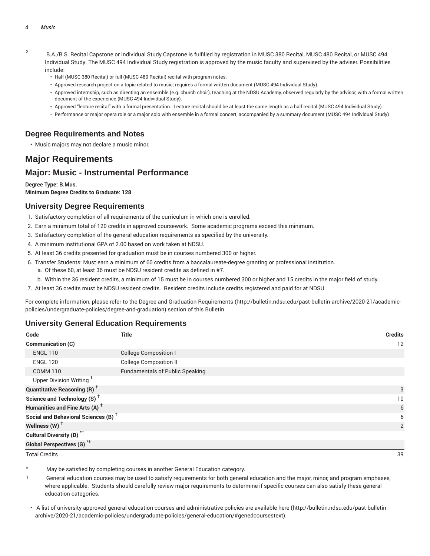- 2 B.A./B.S. Recital Capstone or Individual Study Capstone is fulfilled by registration in MUSC 380 Recital, MUSC 480 Recital, or MUSC 494 Individual Study. The MUSC 494 Individual Study registration is approved by the music faculty and supervised by the adviser. Possibilities include:
	- Half (MUSC 380 Recital) or full (MUSC 480 Recital) recital with program notes.
	- Approved research project on a topic related to music; requires a formal written document (MUSC 494 Individual Study).
	- Approved internship, such as directing an ensemble (e.g. church choir), teaching at the NDSU Academy, observed regularly by the advisor, with a formal written document of the experience (MUSC 494 Individual Study).
	- Approved "lecture recital" with a formal presentation. Lecture recital should be at least the same length as a half recital (MUSC 494 Individual Study)
	- Performance or major opera role or a major solo with ensemble in a formal concert, accompanied by a summary document (MUSC 494 Individual Study)

## **Degree Requirements and Notes**

• Music majors may not declare a music minor.

## **Major Requirements**

## **Major: Music - Instrumental Performance**

#### **Degree Type: B.Mus. Minimum Degree Credits to Graduate: 128**

#### **University Degree Requirements**

- 1. Satisfactory completion of all requirements of the curriculum in which one is enrolled.
- 2. Earn a minimum total of 120 credits in approved coursework. Some academic programs exceed this minimum.
- 3. Satisfactory completion of the general education requirements as specified by the university.
- 4. A minimum institutional GPA of 2.00 based on work taken at NDSU.
- 5. At least 36 credits presented for graduation must be in courses numbered 300 or higher.
- 6. Transfer Students: Must earn a minimum of 60 credits from a baccalaureate-degree granting or professional institution.
	- a. Of these 60, at least 36 must be NDSU resident credits as defined in #7.
	- b. Within the 36 resident credits, a minimum of 15 must be in courses numbered 300 or higher and 15 credits in the major field of study.
- 7. At least 36 credits must be NDSU resident credits. Resident credits include credits registered and paid for at NDSU.

For complete information, please refer to the Degree and Graduation Requirements (http://bulletin.ndsu.edu/past-bulletin-archive/2020-21/academicpolicies/undergraduate-policies/degree-and-graduation) section of this Bulletin.

## **University General Education Requirements**

| Code                                                 | Title                                  | <b>Credits</b> |
|------------------------------------------------------|----------------------------------------|----------------|
| Communication (C)                                    |                                        | 12             |
| <b>ENGL 110</b>                                      | <b>College Composition I</b>           |                |
| <b>ENGL 120</b>                                      | <b>College Composition II</b>          |                |
| <b>COMM 110</b>                                      | <b>Fundamentals of Public Speaking</b> |                |
| Upper Division Writing <sup>+</sup>                  |                                        |                |
| <b>Quantitative Reasoning (R)</b> <sup>†</sup>       |                                        | 3              |
| Science and Technology (S) <sup><math>†</math></sup> |                                        | 10             |
| Humanities and Fine Arts (A) <sup>+</sup>            |                                        | 6              |
| Social and Behavioral Sciences (B) <sup>+</sup>      |                                        | 6              |
| Wellness $(W)$ <sup>+</sup>                          |                                        | 2              |
| Cultural Diversity (D) <sup>*†</sup>                 |                                        |                |
| Global Perspectives (G) <sup>*†</sup>                |                                        |                |

Total Credits 39

May be satisfied by completing courses in another General Education category.

- $\dagger$  General education courses may be used to satisfy requirements for both general education and the major, minor, and program emphases, where applicable. Students should carefully review major requirements to determine if specific courses can also satisfy these general education categories.
- A list of university approved general education courses and administrative policies are available here (http://bulletin.ndsu.edu/past-bulletinarchive/2020-21/academic-policies/undergraduate-policies/general-education/#genedcoursestext).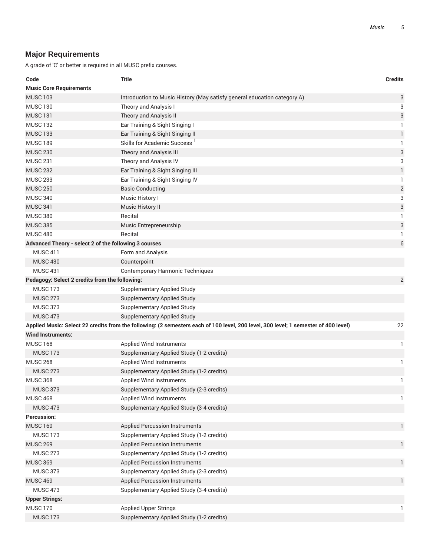## **Major Requirements**

| Code                                                  | <b>Title</b>                                                                                                                        | <b>Credits</b> |
|-------------------------------------------------------|-------------------------------------------------------------------------------------------------------------------------------------|----------------|
| <b>Music Core Requirements</b>                        |                                                                                                                                     |                |
| <b>MUSC 103</b>                                       | Introduction to Music History (May satisfy general education category A)                                                            | 3              |
| <b>MUSC 130</b>                                       | Theory and Analysis I                                                                                                               | 3              |
| <b>MUSC 131</b>                                       | Theory and Analysis II                                                                                                              | 3              |
| <b>MUSC 132</b>                                       | Ear Training & Sight Singing I                                                                                                      | 1              |
| <b>MUSC 133</b>                                       | Ear Training & Sight Singing II                                                                                                     | 1              |
| <b>MUSC 189</b>                                       | Skills for Academic Success <sup>1</sup>                                                                                            | 1              |
| <b>MUSC 230</b>                                       | Theory and Analysis III                                                                                                             | 3              |
| <b>MUSC 231</b>                                       | Theory and Analysis IV                                                                                                              | 3              |
| <b>MUSC 232</b>                                       | Ear Training & Sight Singing III                                                                                                    | $\mathbf{1}$   |
| <b>MUSC 233</b>                                       | Ear Training & Sight Singing IV                                                                                                     | 1              |
| <b>MUSC 250</b>                                       | <b>Basic Conducting</b>                                                                                                             | $\overline{2}$ |
| <b>MUSC 340</b>                                       | Music History I                                                                                                                     | 3              |
| <b>MUSC 341</b>                                       | <b>Music History II</b>                                                                                                             | 3              |
| <b>MUSC 380</b>                                       | Recital                                                                                                                             | 1              |
| <b>MUSC 385</b>                                       | Music Entrepreneurship                                                                                                              | 3              |
| <b>MUSC 480</b>                                       | Recital                                                                                                                             | 1              |
| Advanced Theory - select 2 of the following 3 courses |                                                                                                                                     | 6              |
| <b>MUSC 411</b>                                       | Form and Analysis                                                                                                                   |                |
| <b>MUSC 430</b>                                       | Counterpoint                                                                                                                        |                |
| <b>MUSC 431</b>                                       | <b>Contemporary Harmonic Techniques</b>                                                                                             |                |
| Pedagogy: Select 2 credits from the following:        |                                                                                                                                     | $\overline{2}$ |
| <b>MUSC 173</b>                                       | <b>Supplementary Applied Study</b>                                                                                                  |                |
| <b>MUSC 273</b>                                       | <b>Supplementary Applied Study</b>                                                                                                  |                |
| <b>MUSC 373</b>                                       | <b>Supplementary Applied Study</b>                                                                                                  |                |
| <b>MUSC 473</b>                                       | <b>Supplementary Applied Study</b>                                                                                                  |                |
|                                                       | Applied Music: Select 22 credits from the following: (2 semesters each of 100 level, 200 level, 300 level; 1 semester of 400 level) | 22             |
| <b>Wind Instruments:</b>                              |                                                                                                                                     |                |
| <b>MUSC 168</b>                                       | <b>Applied Wind Instruments</b>                                                                                                     | 1              |
| <b>MUSC 173</b>                                       | Supplementary Applied Study (1-2 credits)                                                                                           |                |
| <b>MUSC 268</b>                                       | Applied Wind Instruments                                                                                                            | $\mathbf{1}$   |
| <b>MUSC 273</b>                                       | Supplementary Applied Study (1-2 credits)                                                                                           |                |
| <b>MUSC 368</b>                                       | <b>Applied Wind Instruments</b>                                                                                                     | 1              |
| <b>MUSC 373</b>                                       | Supplementary Applied Study (2-3 credits)                                                                                           |                |
| <b>MUSC 468</b>                                       | Applied Wind Instruments                                                                                                            | 1              |
| <b>MUSC 473</b>                                       | Supplementary Applied Study (3-4 credits)                                                                                           |                |
| <b>Percussion:</b>                                    |                                                                                                                                     |                |
| <b>MUSC 169</b>                                       | <b>Applied Percussion Instruments</b>                                                                                               | 1              |
| <b>MUSC 173</b>                                       | Supplementary Applied Study (1-2 credits)                                                                                           |                |
| <b>MUSC 269</b>                                       | <b>Applied Percussion Instruments</b>                                                                                               | 1              |
| <b>MUSC 273</b>                                       | Supplementary Applied Study (1-2 credits)                                                                                           |                |
| <b>MUSC 369</b>                                       | <b>Applied Percussion Instruments</b>                                                                                               | $\mathbf{1}$   |
| <b>MUSC 373</b>                                       | Supplementary Applied Study (2-3 credits)                                                                                           |                |
| <b>MUSC 469</b>                                       | <b>Applied Percussion Instruments</b>                                                                                               | 1              |
| <b>MUSC 473</b>                                       | Supplementary Applied Study (3-4 credits)                                                                                           |                |
| <b>Upper Strings:</b>                                 |                                                                                                                                     |                |
| <b>MUSC 170</b>                                       | <b>Applied Upper Strings</b>                                                                                                        | 1              |
| <b>MUSC 173</b>                                       | Supplementary Applied Study (1-2 credits)                                                                                           |                |
|                                                       |                                                                                                                                     |                |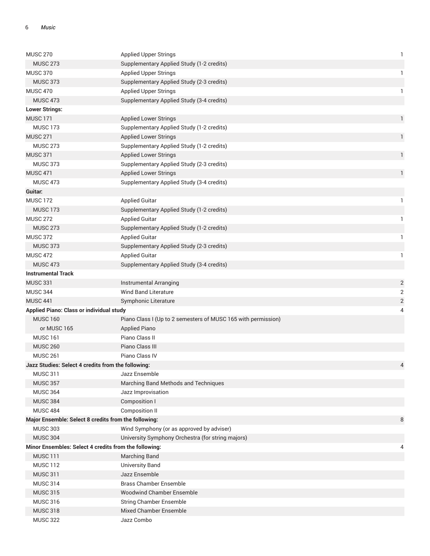| <b>MUSC 270</b>                                       | <b>Applied Upper Strings</b>                                  | 1              |
|-------------------------------------------------------|---------------------------------------------------------------|----------------|
| <b>MUSC 273</b>                                       | Supplementary Applied Study (1-2 credits)                     |                |
| <b>MUSC 370</b>                                       | <b>Applied Upper Strings</b>                                  | 1              |
| <b>MUSC 373</b>                                       | Supplementary Applied Study (2-3 credits)                     |                |
| <b>MUSC 470</b>                                       | <b>Applied Upper Strings</b>                                  | 1              |
| <b>MUSC 473</b>                                       | Supplementary Applied Study (3-4 credits)                     |                |
| <b>Lower Strings:</b>                                 |                                                               |                |
| <b>MUSC 171</b>                                       | <b>Applied Lower Strings</b>                                  | $\mathbf{1}$   |
| <b>MUSC 173</b>                                       | Supplementary Applied Study (1-2 credits)                     |                |
| <b>MUSC 271</b>                                       | <b>Applied Lower Strings</b>                                  | $\mathbf{1}$   |
| <b>MUSC 273</b>                                       | Supplementary Applied Study (1-2 credits)                     |                |
| <b>MUSC 371</b>                                       | <b>Applied Lower Strings</b>                                  | $\mathbf{1}$   |
| <b>MUSC 373</b>                                       | Supplementary Applied Study (2-3 credits)                     |                |
| <b>MUSC 471</b>                                       | <b>Applied Lower Strings</b>                                  | $\mathbf{1}$   |
| <b>MUSC 473</b>                                       | Supplementary Applied Study (3-4 credits)                     |                |
| Guitar:                                               |                                                               |                |
| <b>MUSC 172</b>                                       | <b>Applied Guitar</b>                                         | 1              |
| <b>MUSC 173</b>                                       | Supplementary Applied Study (1-2 credits)                     |                |
| <b>MUSC 272</b>                                       | <b>Applied Guitar</b>                                         | -1             |
| <b>MUSC 273</b>                                       | Supplementary Applied Study (1-2 credits)                     |                |
| <b>MUSC 372</b>                                       | <b>Applied Guitar</b>                                         | 1              |
| <b>MUSC 373</b>                                       | Supplementary Applied Study (2-3 credits)                     |                |
| <b>MUSC 472</b>                                       | <b>Applied Guitar</b>                                         | 1              |
| <b>MUSC 473</b>                                       | Supplementary Applied Study (3-4 credits)                     |                |
| <b>Instrumental Track</b>                             |                                                               |                |
| <b>MUSC 331</b>                                       | Instrumental Arranging                                        | $\overline{c}$ |
| <b>MUSC 344</b>                                       | <b>Wind Band Literature</b>                                   | $\overline{2}$ |
| <b>MUSC 441</b>                                       | Symphonic Literature                                          | $\sqrt{2}$     |
| <b>Applied Piano: Class or individual study</b>       |                                                               | 4              |
| <b>MUSC 160</b>                                       | Piano Class I (Up to 2 semesters of MUSC 165 with permission) |                |
| or MUSC 165                                           | <b>Applied Piano</b>                                          |                |
| <b>MUSC 161</b>                                       | Piano Class II                                                |                |
| <b>MUSC 260</b>                                       | Piano Class III                                               |                |
| <b>MUSC 261</b>                                       | Piano Class IV                                                |                |
| Jazz Studies: Select 4 credits from the following:    |                                                               |                |
| <b>MUSC 311</b>                                       | Jazz Ensemble                                                 |                |
| <b>MUSC 357</b>                                       | Marching Band Methods and Techniques                          |                |
| <b>MUSC 364</b>                                       | Jazz Improvisation                                            |                |
| <b>MUSC 384</b>                                       | Composition I                                                 |                |
| <b>MUSC 484</b>                                       | Composition II                                                |                |
| Major Ensemble: Select 8 credits from the following:  |                                                               | 8              |
| <b>MUSC 303</b>                                       | Wind Symphony (or as approved by adviser)                     |                |
| <b>MUSC 304</b>                                       | University Symphony Orchestra (for string majors)             |                |
| Minor Ensembles: Select 4 credits from the following: |                                                               | 4              |
| <b>MUSC 111</b>                                       | <b>Marching Band</b>                                          |                |
| <b>MUSC 112</b>                                       | <b>University Band</b>                                        |                |
| <b>MUSC 311</b>                                       | Jazz Ensemble                                                 |                |
| <b>MUSC 314</b>                                       | <b>Brass Chamber Ensemble</b>                                 |                |
| <b>MUSC 315</b>                                       | <b>Woodwind Chamber Ensemble</b>                              |                |
| <b>MUSC 316</b>                                       | <b>String Chamber Ensemble</b>                                |                |
| <b>MUSC 318</b>                                       | Mixed Chamber Ensemble                                        |                |
| <b>MUSC 322</b>                                       | Jazz Combo                                                    |                |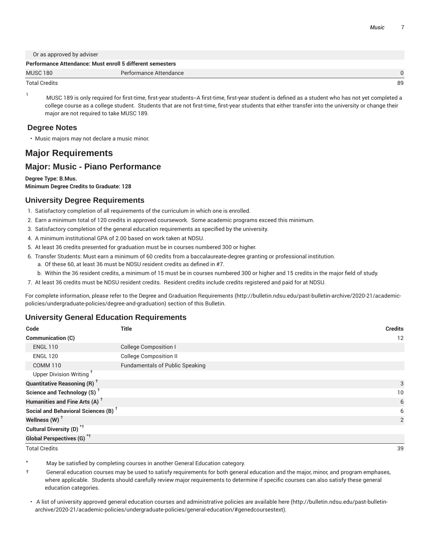Or as approved by adviser

|                      | Performance Attendance: Must enroll 5 different semesters |    |
|----------------------|-----------------------------------------------------------|----|
| <b>MUSC 180</b>      | Performance Attendance                                    |    |
| <b>Total Credits</b> |                                                           | 89 |

<sup>1</sup> MUSC 189 is only required for first-time, first-year students--A first-time, first-year student is defined as a student who has not yet completed a college course as a college student. Students that are not first-time, first-year students that either transfer into the university or change their major are not required to take MUSC 189.

#### **Degree Notes**

• Music majors may not declare a music minor.

## **Major Requirements**

## **Major: Music - Piano Performance**

#### **Degree Type: B.Mus.**

**Minimum Degree Credits to Graduate: 128**

## **University Degree Requirements**

- 1. Satisfactory completion of all requirements of the curriculum in which one is enrolled.
- 2. Earn a minimum total of 120 credits in approved coursework. Some academic programs exceed this minimum.
- 3. Satisfactory completion of the general education requirements as specified by the university.
- 4. A minimum institutional GPA of 2.00 based on work taken at NDSU.
- 5. At least 36 credits presented for graduation must be in courses numbered 300 or higher.
- 6. Transfer Students: Must earn a minimum of 60 credits from a baccalaureate-degree granting or professional institution.
	- a. Of these 60, at least 36 must be NDSU resident credits as defined in #7.
	- b. Within the 36 resident credits, a minimum of 15 must be in courses numbered 300 or higher and 15 credits in the major field of study.
- 7. At least 36 credits must be NDSU resident credits. Resident credits include credits registered and paid for at NDSU.

For complete information, please refer to the Degree and Graduation Requirements (http://bulletin.ndsu.edu/past-bulletin-archive/2020-21/academicpolicies/undergraduate-policies/degree-and-graduation) section of this Bulletin.

## **University General Education Requirements**

| Code                                            | <b>Title</b>                           | <b>Credits</b> |
|-------------------------------------------------|----------------------------------------|----------------|
| Communication (C)                               |                                        | 12             |
| <b>ENGL 110</b>                                 | <b>College Composition I</b>           |                |
| <b>ENGL 120</b>                                 | <b>College Composition II</b>          |                |
| <b>COMM 110</b>                                 | <b>Fundamentals of Public Speaking</b> |                |
| Upper Division Writing <sup>+</sup>             |                                        |                |
| <b>Quantitative Reasoning (R)</b> <sup>†</sup>  |                                        | 3              |
| Science and Technology (S) <sup>+</sup>         |                                        | 10             |
| Humanities and Fine Arts (A) <sup>+</sup>       |                                        | 6              |
| Social and Behavioral Sciences (B) <sup>+</sup> |                                        | 6              |
| Wellness (W) $^{\dagger}$                       |                                        | 2              |
| Cultural Diversity (D) <sup>*†</sup>            |                                        |                |
| <b>Global Perspectives (G)</b> <sup>*†</sup>    |                                        |                |

Total Credits 39

May be satisfied by completing courses in another General Education category.

† General education courses may be used to satisfy requirements for both general education and the major, minor, and program emphases, where applicable. Students should carefully review major requirements to determine if specific courses can also satisfy these general education categories.

• A list of university approved general education courses and administrative policies are available here (http://bulletin.ndsu.edu/past-bulletinarchive/2020-21/academic-policies/undergraduate-policies/general-education/#genedcoursestext).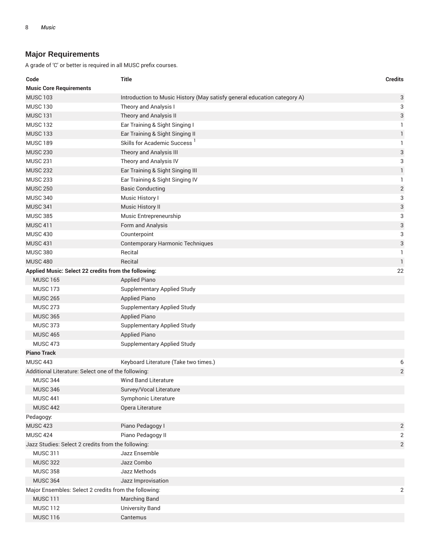## **Major Requirements**

| 3<br>Introduction to Music History (May satisfy general education category A)<br>3<br>Theory and Analysis I<br>3<br>Theory and Analysis II<br>Ear Training & Sight Singing I<br>1<br>$\mathbf{1}$<br>Ear Training & Sight Singing II<br>Skills for Academic Success <sup>1</sup><br>1<br>3<br>Theory and Analysis III<br>3<br>Theory and Analysis IV<br>$\mathbf{1}$<br>Ear Training & Sight Singing III<br>Ear Training & Sight Singing IV<br>1<br>$\sqrt{2}$<br><b>Basic Conducting</b><br>3<br>Music History I<br>3<br>Music History II<br>3<br>Music Entrepreneurship<br>3<br>Form and Analysis<br>3<br>Counterpoint<br>3<br><b>Contemporary Harmonic Techniques</b><br>Recital<br>1<br>Recital<br>$\mathbf{1}$<br>Applied Music: Select 22 credits from the following:<br>22<br><b>MUSC 165</b><br><b>Applied Piano</b><br><b>MUSC 173</b><br><b>Supplementary Applied Study</b><br><b>MUSC 265</b><br><b>Applied Piano</b><br><b>MUSC 273</b><br><b>Supplementary Applied Study</b><br><b>MUSC 365</b><br><b>Applied Piano</b><br><b>MUSC 373</b><br><b>Supplementary Applied Study</b><br><b>Applied Piano</b><br><b>MUSC 465</b><br><b>MUSC 473</b><br><b>Supplementary Applied Study</b><br><b>Piano Track</b><br><b>MUSC 443</b><br>Keyboard Literature (Take two times.)<br>6<br>$\sqrt{2}$<br>Additional Literature: Select one of the following:<br><b>MUSC 344</b><br><b>Wind Band Literature</b><br><b>MUSC 346</b><br>Survey/Vocal Literature<br><b>MUSC 441</b><br>Symphonic Literature<br><b>MUSC 442</b><br>Opera Literature<br>Pedagogy:<br><b>MUSC 423</b><br>Piano Pedagogy I<br>2<br><b>MUSC 424</b><br>Piano Pedagogy II<br>2<br>Jazz Studies: Select 2 credits from the following:<br>$\overline{2}$<br><b>MUSC 311</b><br>Jazz Ensemble<br><b>MUSC 322</b><br>Jazz Combo | Code                           | <b>Title</b> | <b>Credits</b> |
|----------------------------------------------------------------------------------------------------------------------------------------------------------------------------------------------------------------------------------------------------------------------------------------------------------------------------------------------------------------------------------------------------------------------------------------------------------------------------------------------------------------------------------------------------------------------------------------------------------------------------------------------------------------------------------------------------------------------------------------------------------------------------------------------------------------------------------------------------------------------------------------------------------------------------------------------------------------------------------------------------------------------------------------------------------------------------------------------------------------------------------------------------------------------------------------------------------------------------------------------------------------------------------------------------------------------------------------------------------------------------------------------------------------------------------------------------------------------------------------------------------------------------------------------------------------------------------------------------------------------------------------------------------------------------------------------------------------------------------------------------------------------------------------------------|--------------------------------|--------------|----------------|
|                                                                                                                                                                                                                                                                                                                                                                                                                                                                                                                                                                                                                                                                                                                                                                                                                                                                                                                                                                                                                                                                                                                                                                                                                                                                                                                                                                                                                                                                                                                                                                                                                                                                                                                                                                                                    | <b>Music Core Requirements</b> |              |                |
|                                                                                                                                                                                                                                                                                                                                                                                                                                                                                                                                                                                                                                                                                                                                                                                                                                                                                                                                                                                                                                                                                                                                                                                                                                                                                                                                                                                                                                                                                                                                                                                                                                                                                                                                                                                                    | <b>MUSC 103</b>                |              |                |
|                                                                                                                                                                                                                                                                                                                                                                                                                                                                                                                                                                                                                                                                                                                                                                                                                                                                                                                                                                                                                                                                                                                                                                                                                                                                                                                                                                                                                                                                                                                                                                                                                                                                                                                                                                                                    | <b>MUSC 130</b>                |              |                |
|                                                                                                                                                                                                                                                                                                                                                                                                                                                                                                                                                                                                                                                                                                                                                                                                                                                                                                                                                                                                                                                                                                                                                                                                                                                                                                                                                                                                                                                                                                                                                                                                                                                                                                                                                                                                    | <b>MUSC 131</b>                |              |                |
|                                                                                                                                                                                                                                                                                                                                                                                                                                                                                                                                                                                                                                                                                                                                                                                                                                                                                                                                                                                                                                                                                                                                                                                                                                                                                                                                                                                                                                                                                                                                                                                                                                                                                                                                                                                                    | <b>MUSC 132</b>                |              |                |
|                                                                                                                                                                                                                                                                                                                                                                                                                                                                                                                                                                                                                                                                                                                                                                                                                                                                                                                                                                                                                                                                                                                                                                                                                                                                                                                                                                                                                                                                                                                                                                                                                                                                                                                                                                                                    | <b>MUSC 133</b>                |              |                |
|                                                                                                                                                                                                                                                                                                                                                                                                                                                                                                                                                                                                                                                                                                                                                                                                                                                                                                                                                                                                                                                                                                                                                                                                                                                                                                                                                                                                                                                                                                                                                                                                                                                                                                                                                                                                    | <b>MUSC 189</b>                |              |                |
|                                                                                                                                                                                                                                                                                                                                                                                                                                                                                                                                                                                                                                                                                                                                                                                                                                                                                                                                                                                                                                                                                                                                                                                                                                                                                                                                                                                                                                                                                                                                                                                                                                                                                                                                                                                                    | <b>MUSC 230</b>                |              |                |
|                                                                                                                                                                                                                                                                                                                                                                                                                                                                                                                                                                                                                                                                                                                                                                                                                                                                                                                                                                                                                                                                                                                                                                                                                                                                                                                                                                                                                                                                                                                                                                                                                                                                                                                                                                                                    | <b>MUSC 231</b>                |              |                |
|                                                                                                                                                                                                                                                                                                                                                                                                                                                                                                                                                                                                                                                                                                                                                                                                                                                                                                                                                                                                                                                                                                                                                                                                                                                                                                                                                                                                                                                                                                                                                                                                                                                                                                                                                                                                    | <b>MUSC 232</b>                |              |                |
|                                                                                                                                                                                                                                                                                                                                                                                                                                                                                                                                                                                                                                                                                                                                                                                                                                                                                                                                                                                                                                                                                                                                                                                                                                                                                                                                                                                                                                                                                                                                                                                                                                                                                                                                                                                                    | <b>MUSC 233</b>                |              |                |
|                                                                                                                                                                                                                                                                                                                                                                                                                                                                                                                                                                                                                                                                                                                                                                                                                                                                                                                                                                                                                                                                                                                                                                                                                                                                                                                                                                                                                                                                                                                                                                                                                                                                                                                                                                                                    | <b>MUSC 250</b>                |              |                |
|                                                                                                                                                                                                                                                                                                                                                                                                                                                                                                                                                                                                                                                                                                                                                                                                                                                                                                                                                                                                                                                                                                                                                                                                                                                                                                                                                                                                                                                                                                                                                                                                                                                                                                                                                                                                    | <b>MUSC 340</b>                |              |                |
|                                                                                                                                                                                                                                                                                                                                                                                                                                                                                                                                                                                                                                                                                                                                                                                                                                                                                                                                                                                                                                                                                                                                                                                                                                                                                                                                                                                                                                                                                                                                                                                                                                                                                                                                                                                                    | <b>MUSC 341</b>                |              |                |
|                                                                                                                                                                                                                                                                                                                                                                                                                                                                                                                                                                                                                                                                                                                                                                                                                                                                                                                                                                                                                                                                                                                                                                                                                                                                                                                                                                                                                                                                                                                                                                                                                                                                                                                                                                                                    | <b>MUSC 385</b>                |              |                |
|                                                                                                                                                                                                                                                                                                                                                                                                                                                                                                                                                                                                                                                                                                                                                                                                                                                                                                                                                                                                                                                                                                                                                                                                                                                                                                                                                                                                                                                                                                                                                                                                                                                                                                                                                                                                    | <b>MUSC 411</b>                |              |                |
|                                                                                                                                                                                                                                                                                                                                                                                                                                                                                                                                                                                                                                                                                                                                                                                                                                                                                                                                                                                                                                                                                                                                                                                                                                                                                                                                                                                                                                                                                                                                                                                                                                                                                                                                                                                                    | <b>MUSC 430</b>                |              |                |
|                                                                                                                                                                                                                                                                                                                                                                                                                                                                                                                                                                                                                                                                                                                                                                                                                                                                                                                                                                                                                                                                                                                                                                                                                                                                                                                                                                                                                                                                                                                                                                                                                                                                                                                                                                                                    | <b>MUSC 431</b>                |              |                |
|                                                                                                                                                                                                                                                                                                                                                                                                                                                                                                                                                                                                                                                                                                                                                                                                                                                                                                                                                                                                                                                                                                                                                                                                                                                                                                                                                                                                                                                                                                                                                                                                                                                                                                                                                                                                    | <b>MUSC 380</b>                |              |                |
|                                                                                                                                                                                                                                                                                                                                                                                                                                                                                                                                                                                                                                                                                                                                                                                                                                                                                                                                                                                                                                                                                                                                                                                                                                                                                                                                                                                                                                                                                                                                                                                                                                                                                                                                                                                                    | <b>MUSC 480</b>                |              |                |
|                                                                                                                                                                                                                                                                                                                                                                                                                                                                                                                                                                                                                                                                                                                                                                                                                                                                                                                                                                                                                                                                                                                                                                                                                                                                                                                                                                                                                                                                                                                                                                                                                                                                                                                                                                                                    |                                |              |                |
|                                                                                                                                                                                                                                                                                                                                                                                                                                                                                                                                                                                                                                                                                                                                                                                                                                                                                                                                                                                                                                                                                                                                                                                                                                                                                                                                                                                                                                                                                                                                                                                                                                                                                                                                                                                                    |                                |              |                |
|                                                                                                                                                                                                                                                                                                                                                                                                                                                                                                                                                                                                                                                                                                                                                                                                                                                                                                                                                                                                                                                                                                                                                                                                                                                                                                                                                                                                                                                                                                                                                                                                                                                                                                                                                                                                    |                                |              |                |
|                                                                                                                                                                                                                                                                                                                                                                                                                                                                                                                                                                                                                                                                                                                                                                                                                                                                                                                                                                                                                                                                                                                                                                                                                                                                                                                                                                                                                                                                                                                                                                                                                                                                                                                                                                                                    |                                |              |                |
|                                                                                                                                                                                                                                                                                                                                                                                                                                                                                                                                                                                                                                                                                                                                                                                                                                                                                                                                                                                                                                                                                                                                                                                                                                                                                                                                                                                                                                                                                                                                                                                                                                                                                                                                                                                                    |                                |              |                |
|                                                                                                                                                                                                                                                                                                                                                                                                                                                                                                                                                                                                                                                                                                                                                                                                                                                                                                                                                                                                                                                                                                                                                                                                                                                                                                                                                                                                                                                                                                                                                                                                                                                                                                                                                                                                    |                                |              |                |
|                                                                                                                                                                                                                                                                                                                                                                                                                                                                                                                                                                                                                                                                                                                                                                                                                                                                                                                                                                                                                                                                                                                                                                                                                                                                                                                                                                                                                                                                                                                                                                                                                                                                                                                                                                                                    |                                |              |                |
|                                                                                                                                                                                                                                                                                                                                                                                                                                                                                                                                                                                                                                                                                                                                                                                                                                                                                                                                                                                                                                                                                                                                                                                                                                                                                                                                                                                                                                                                                                                                                                                                                                                                                                                                                                                                    |                                |              |                |
|                                                                                                                                                                                                                                                                                                                                                                                                                                                                                                                                                                                                                                                                                                                                                                                                                                                                                                                                                                                                                                                                                                                                                                                                                                                                                                                                                                                                                                                                                                                                                                                                                                                                                                                                                                                                    |                                |              |                |
|                                                                                                                                                                                                                                                                                                                                                                                                                                                                                                                                                                                                                                                                                                                                                                                                                                                                                                                                                                                                                                                                                                                                                                                                                                                                                                                                                                                                                                                                                                                                                                                                                                                                                                                                                                                                    |                                |              |                |
|                                                                                                                                                                                                                                                                                                                                                                                                                                                                                                                                                                                                                                                                                                                                                                                                                                                                                                                                                                                                                                                                                                                                                                                                                                                                                                                                                                                                                                                                                                                                                                                                                                                                                                                                                                                                    |                                |              |                |
|                                                                                                                                                                                                                                                                                                                                                                                                                                                                                                                                                                                                                                                                                                                                                                                                                                                                                                                                                                                                                                                                                                                                                                                                                                                                                                                                                                                                                                                                                                                                                                                                                                                                                                                                                                                                    |                                |              |                |
|                                                                                                                                                                                                                                                                                                                                                                                                                                                                                                                                                                                                                                                                                                                                                                                                                                                                                                                                                                                                                                                                                                                                                                                                                                                                                                                                                                                                                                                                                                                                                                                                                                                                                                                                                                                                    |                                |              |                |
|                                                                                                                                                                                                                                                                                                                                                                                                                                                                                                                                                                                                                                                                                                                                                                                                                                                                                                                                                                                                                                                                                                                                                                                                                                                                                                                                                                                                                                                                                                                                                                                                                                                                                                                                                                                                    |                                |              |                |
|                                                                                                                                                                                                                                                                                                                                                                                                                                                                                                                                                                                                                                                                                                                                                                                                                                                                                                                                                                                                                                                                                                                                                                                                                                                                                                                                                                                                                                                                                                                                                                                                                                                                                                                                                                                                    |                                |              |                |
|                                                                                                                                                                                                                                                                                                                                                                                                                                                                                                                                                                                                                                                                                                                                                                                                                                                                                                                                                                                                                                                                                                                                                                                                                                                                                                                                                                                                                                                                                                                                                                                                                                                                                                                                                                                                    |                                |              |                |
|                                                                                                                                                                                                                                                                                                                                                                                                                                                                                                                                                                                                                                                                                                                                                                                                                                                                                                                                                                                                                                                                                                                                                                                                                                                                                                                                                                                                                                                                                                                                                                                                                                                                                                                                                                                                    |                                |              |                |
|                                                                                                                                                                                                                                                                                                                                                                                                                                                                                                                                                                                                                                                                                                                                                                                                                                                                                                                                                                                                                                                                                                                                                                                                                                                                                                                                                                                                                                                                                                                                                                                                                                                                                                                                                                                                    |                                |              |                |
|                                                                                                                                                                                                                                                                                                                                                                                                                                                                                                                                                                                                                                                                                                                                                                                                                                                                                                                                                                                                                                                                                                                                                                                                                                                                                                                                                                                                                                                                                                                                                                                                                                                                                                                                                                                                    |                                |              |                |
|                                                                                                                                                                                                                                                                                                                                                                                                                                                                                                                                                                                                                                                                                                                                                                                                                                                                                                                                                                                                                                                                                                                                                                                                                                                                                                                                                                                                                                                                                                                                                                                                                                                                                                                                                                                                    |                                |              |                |
|                                                                                                                                                                                                                                                                                                                                                                                                                                                                                                                                                                                                                                                                                                                                                                                                                                                                                                                                                                                                                                                                                                                                                                                                                                                                                                                                                                                                                                                                                                                                                                                                                                                                                                                                                                                                    |                                |              |                |
|                                                                                                                                                                                                                                                                                                                                                                                                                                                                                                                                                                                                                                                                                                                                                                                                                                                                                                                                                                                                                                                                                                                                                                                                                                                                                                                                                                                                                                                                                                                                                                                                                                                                                                                                                                                                    |                                |              |                |
| <b>MUSC 358</b><br>Jazz Methods                                                                                                                                                                                                                                                                                                                                                                                                                                                                                                                                                                                                                                                                                                                                                                                                                                                                                                                                                                                                                                                                                                                                                                                                                                                                                                                                                                                                                                                                                                                                                                                                                                                                                                                                                                    |                                |              |                |
| <b>MUSC 364</b><br>Jazz Improvisation                                                                                                                                                                                                                                                                                                                                                                                                                                                                                                                                                                                                                                                                                                                                                                                                                                                                                                                                                                                                                                                                                                                                                                                                                                                                                                                                                                                                                                                                                                                                                                                                                                                                                                                                                              |                                |              |                |
| Major Ensembles: Select 2 credits from the following:<br>2                                                                                                                                                                                                                                                                                                                                                                                                                                                                                                                                                                                                                                                                                                                                                                                                                                                                                                                                                                                                                                                                                                                                                                                                                                                                                                                                                                                                                                                                                                                                                                                                                                                                                                                                         |                                |              |                |
| <b>MUSC 111</b><br>Marching Band                                                                                                                                                                                                                                                                                                                                                                                                                                                                                                                                                                                                                                                                                                                                                                                                                                                                                                                                                                                                                                                                                                                                                                                                                                                                                                                                                                                                                                                                                                                                                                                                                                                                                                                                                                   |                                |              |                |
| <b>MUSC 112</b><br><b>University Band</b>                                                                                                                                                                                                                                                                                                                                                                                                                                                                                                                                                                                                                                                                                                                                                                                                                                                                                                                                                                                                                                                                                                                                                                                                                                                                                                                                                                                                                                                                                                                                                                                                                                                                                                                                                          |                                |              |                |
| <b>MUSC 116</b><br>Cantemus                                                                                                                                                                                                                                                                                                                                                                                                                                                                                                                                                                                                                                                                                                                                                                                                                                                                                                                                                                                                                                                                                                                                                                                                                                                                                                                                                                                                                                                                                                                                                                                                                                                                                                                                                                        |                                |              |                |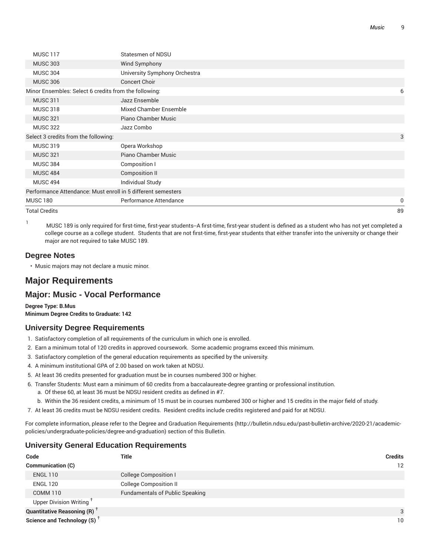| Total Credits                                         |                                                              | 89 |
|-------------------------------------------------------|--------------------------------------------------------------|----|
| <b>MUSC 180</b>                                       | Performance Attendance                                       | 0  |
|                                                       | Performance Attendance: Must enroll in 5 different semesters |    |
| <b>MUSC 494</b>                                       | <b>Individual Study</b>                                      |    |
| <b>MUSC 484</b>                                       | Composition II                                               |    |
| <b>MUSC 384</b>                                       | Composition I                                                |    |
| <b>MUSC 321</b>                                       | Piano Chamber Music                                          |    |
| <b>MUSC 319</b>                                       | Opera Workshop                                               |    |
| Select 3 credits from the following:                  |                                                              | 3  |
| <b>MUSC 322</b>                                       | Jazz Combo                                                   |    |
| <b>MUSC 321</b>                                       | Piano Chamber Music                                          |    |
| <b>MUSC 318</b>                                       | <b>Mixed Chamber Ensemble</b>                                |    |
| <b>MUSC 311</b>                                       | Jazz Ensemble                                                |    |
| Minor Ensembles: Select 6 credits from the following: |                                                              | 6  |
| <b>MUSC 306</b>                                       | <b>Concert Choir</b>                                         |    |
| <b>MUSC 304</b>                                       | University Symphony Orchestra                                |    |
| <b>MUSC 303</b>                                       | Wind Symphony                                                |    |
| <b>MUSC 117</b>                                       | <b>Statesmen of NDSU</b>                                     |    |
|                                                       |                                                              |    |

<sup>1</sup> MUSC <sup>189</sup> is only required for first-time, first-year students--A first-time, first-year student is defined as <sup>a</sup> student who has not yet completed <sup>a</sup> college course as a college student. Students that are not first-time, first-year students that either transfer into the university or change their major are not required to take MUSC 189.

## **Degree Notes**

• Music majors may not declare a music minor.

## **Major Requirements**

## **Major: Music - Vocal Performance**

**Degree Type: B.Mus Minimum Degree Credits to Graduate: 142**

## **University Degree Requirements**

- 1. Satisfactory completion of all requirements of the curriculum in which one is enrolled.
- 2. Earn a minimum total of 120 credits in approved coursework. Some academic programs exceed this minimum.
- 3. Satisfactory completion of the general education requirements as specified by the university.
- 4. A minimum institutional GPA of 2.00 based on work taken at NDSU.
- 5. At least 36 credits presented for graduation must be in courses numbered 300 or higher.
- 6. Transfer Students: Must earn a minimum of 60 credits from a baccalaureate-degree granting or professional institution. a. Of these 60, at least 36 must be NDSU resident credits as defined in #7.
	- b. Within the 36 resident credits, a minimum of 15 must be in courses numbered 300 or higher and 15 credits in the major field of study.
- 7. At least 36 credits must be NDSU resident credits. Resident credits include credits registered and paid for at NDSU.

For complete information, please refer to the Degree and Graduation Requirements (http://bulletin.ndsu.edu/past-bulletin-archive/2020-21/academicpolicies/undergraduate-policies/degree-and-graduation) section of this Bulletin.

#### **University General Education Requirements**

| Code                                           | <b>Title</b>                           | <b>Credits</b> |
|------------------------------------------------|----------------------------------------|----------------|
| <b>Communication (C)</b>                       |                                        | 12             |
| <b>ENGL 110</b>                                | <b>College Composition I</b>           |                |
| <b>ENGL 120</b>                                | <b>College Composition II</b>          |                |
| <b>COMM 110</b>                                | <b>Fundamentals of Public Speaking</b> |                |
| Upper Division Writing <sup>T</sup>            |                                        |                |
| <b>Quantitative Reasoning (R)</b> <sup>†</sup> |                                        | 3              |
| Science and Technology (S) <sup>+</sup>        |                                        | 10             |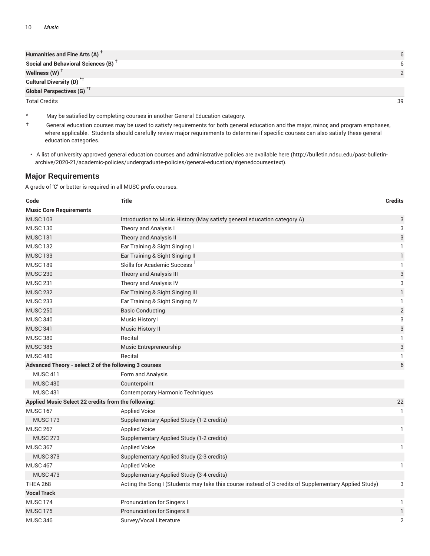| Humanities and Fine Arts (A) $^T$               |   |
|-------------------------------------------------|---|
| Social and Behavioral Sciences (B) <sup>+</sup> | 6 |
| Wellness (W) $^{\top}$                          |   |
| Cultural Diversity (D) <sup>*†</sup>            |   |
| <b>Global Perspectives (G)</b> <sup>*†</sup>    |   |

Total Credits 39

- May be satisfied by completing courses in another General Education category.
- † General education courses may be used to satisfy requirements for both general education and the major, minor, and program emphases, where applicable. Students should carefully review major requirements to determine if specific courses can also satisfy these general education categories.
- A list of university approved general education courses and administrative policies are available here (http://bulletin.ndsu.edu/past-bulletinarchive/2020-21/academic-policies/undergraduate-policies/general-education/#genedcoursestext).

## **Major Requirements**

| Code                                                      | <b>Title</b>                                                                                          | <b>Credits</b>            |  |  |
|-----------------------------------------------------------|-------------------------------------------------------------------------------------------------------|---------------------------|--|--|
| <b>Music Core Requirements</b>                            |                                                                                                       |                           |  |  |
| <b>MUSC 103</b>                                           | Introduction to Music History (May satisfy general education category A)                              | 3                         |  |  |
| <b>MUSC 130</b>                                           | Theory and Analysis I                                                                                 | 3                         |  |  |
| <b>MUSC 131</b>                                           | Theory and Analysis II                                                                                | $\ensuremath{\mathsf{3}}$ |  |  |
| <b>MUSC 132</b>                                           | Ear Training & Sight Singing I                                                                        | $\mathbf{1}$              |  |  |
| <b>MUSC 133</b>                                           | Ear Training & Sight Singing II                                                                       | $\mathbf{1}$              |  |  |
| <b>MUSC 189</b>                                           | Skills for Academic Success <sup>1</sup>                                                              | $\mathbf{1}$              |  |  |
| <b>MUSC 230</b>                                           | Theory and Analysis III                                                                               | $\ensuremath{\mathsf{3}}$ |  |  |
| <b>MUSC 231</b>                                           | Theory and Analysis IV                                                                                | 3                         |  |  |
| <b>MUSC 232</b>                                           | Ear Training & Sight Singing III                                                                      | $\mathbf{1}$              |  |  |
| <b>MUSC 233</b>                                           | Ear Training & Sight Singing IV                                                                       | 1                         |  |  |
| <b>MUSC 250</b>                                           | <b>Basic Conducting</b>                                                                               | $\overline{2}$            |  |  |
| <b>MUSC 340</b>                                           | Music History I                                                                                       | 3                         |  |  |
| <b>MUSC 341</b>                                           | Music History II                                                                                      | $\ensuremath{\mathsf{3}}$ |  |  |
| <b>MUSC 380</b>                                           | Recital                                                                                               | 1                         |  |  |
| <b>MUSC 385</b>                                           | Music Entrepreneurship                                                                                | 3                         |  |  |
| <b>MUSC 480</b>                                           | Recital                                                                                               | 1                         |  |  |
| Advanced Theory - select 2 of the following 3 courses     |                                                                                                       | 6                         |  |  |
| <b>MUSC 411</b>                                           | Form and Analysis                                                                                     |                           |  |  |
| <b>MUSC 430</b>                                           | Counterpoint                                                                                          |                           |  |  |
| <b>MUSC 431</b>                                           | <b>Contemporary Harmonic Techniques</b>                                                               |                           |  |  |
| Applied Music Select 22 credits from the following:<br>22 |                                                                                                       |                           |  |  |
| <b>MUSC 167</b>                                           | <b>Applied Voice</b>                                                                                  | $\mathbf{1}$              |  |  |
| <b>MUSC 173</b>                                           | Supplementary Applied Study (1-2 credits)                                                             |                           |  |  |
| <b>MUSC 267</b>                                           | <b>Applied Voice</b>                                                                                  | 1                         |  |  |
| <b>MUSC 273</b>                                           | Supplementary Applied Study (1-2 credits)                                                             |                           |  |  |
| <b>MUSC 367</b>                                           | <b>Applied Voice</b>                                                                                  | 1                         |  |  |
| <b>MUSC 373</b>                                           | Supplementary Applied Study (2-3 credits)                                                             |                           |  |  |
| <b>MUSC 467</b>                                           | <b>Applied Voice</b>                                                                                  | 1                         |  |  |
| <b>MUSC 473</b>                                           | Supplementary Applied Study (3-4 credits)                                                             |                           |  |  |
| <b>THEA 268</b>                                           | Acting the Song I (Students may take this course instead of 3 credits of Supplementary Applied Study) | 3                         |  |  |
| <b>Vocal Track</b>                                        |                                                                                                       |                           |  |  |
| <b>MUSC 174</b>                                           | Pronunciation for Singers I                                                                           | $\mathbf{1}$              |  |  |
| <b>MUSC 175</b>                                           | Pronunciation for Singers II                                                                          | $\mathbbm{1}$             |  |  |
| <b>MUSC 346</b>                                           | Survey/Vocal Literature                                                                               | $\overline{2}$            |  |  |